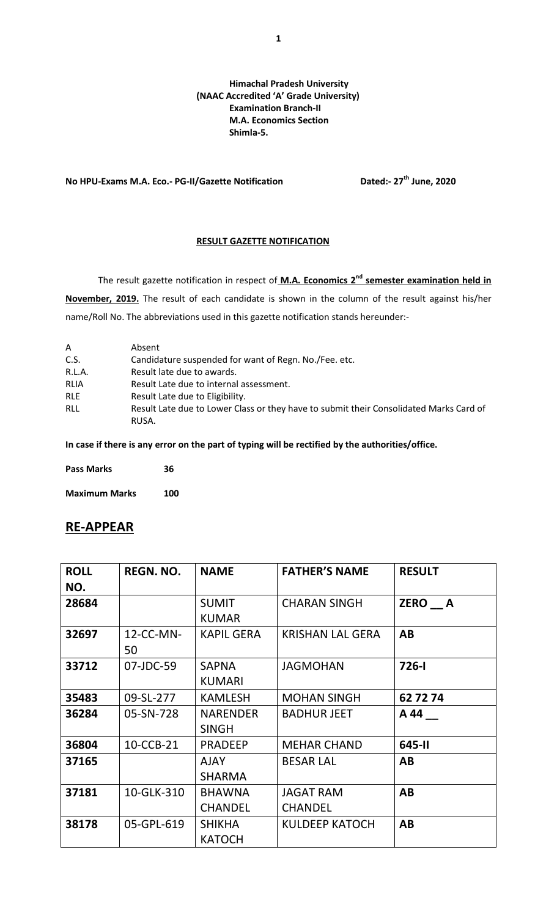## **Himachal Pradesh University (NAAC Accredited 'A' Grade University) Examination Branch-II M.A. Economics Section Shimla-5.**

**No HPU-Exams M.A. Eco.- PG-II/Gazette Notification Dated:- 27th June, 2020**

## **RESULT GAZETTE NOTIFICATION**

The result gazette notification in respect of **M.A. Economics 2nd semester examination held in November, 2019.** The result of each candidate is shown in the column of the result against his/her name/Roll No. The abbreviations used in this gazette notification stands hereunder:-

| A           | Absent                                                                                          |
|-------------|-------------------------------------------------------------------------------------------------|
| C.S.        | Candidature suspended for want of Regn. No. / Fee. etc.                                         |
| R.L.A.      | Result late due to awards.                                                                      |
| <b>RLIA</b> | Result Late due to internal assessment.                                                         |
| <b>RLE</b>  | Result Late due to Eligibility.                                                                 |
| <b>RLL</b>  | Result Late due to Lower Class or they have to submit their Consolidated Marks Card of<br>RUSA. |

**In case if there is any error on the part of typing will be rectified by the authorities/office.**

| <b>Pass Marks</b> | 36 |  |
|-------------------|----|--|
|                   |    |  |

**Maximum Marks 100**

## **RE-APPEAR**

| <b>ROLL</b> | <b>REGN. NO.</b> | <b>NAME</b>       | <b>FATHER'S NAME</b>    | <b>RESULT</b> |
|-------------|------------------|-------------------|-------------------------|---------------|
| NO.         |                  |                   |                         |               |
| 28684       |                  | <b>SUMIT</b>      | <b>CHARAN SINGH</b>     | ZERO A        |
|             |                  | <b>KUMAR</b>      |                         |               |
| 32697       | 12-CC-MN-        | <b>KAPIL GERA</b> | <b>KRISHAN LAL GERA</b> | AB            |
|             | 50               |                   |                         |               |
| 33712       | 07-JDC-59        | <b>SAPNA</b>      | <b>JAGMOHAN</b>         | $726 - 1$     |
|             |                  | <b>KUMARI</b>     |                         |               |
| 35483       | 09-SL-277        | <b>KAMLESH</b>    | <b>MOHAN SINGH</b>      | 62 72 74      |
| 36284       | 05-SN-728        | <b>NARENDER</b>   | <b>BADHUR JEET</b>      | A 44          |
|             |                  | <b>SINGH</b>      |                         |               |
| 36804       | 10-CCB-21        | <b>PRADEEP</b>    | <b>MEHAR CHAND</b>      | 645-II        |
| 37165       |                  | <b>AJAY</b>       | <b>BESAR LAL</b>        | AB            |
|             |                  | <b>SHARMA</b>     |                         |               |
| 37181       | 10-GLK-310       | <b>BHAWNA</b>     | <b>JAGAT RAM</b>        | AB            |
|             |                  | <b>CHANDEL</b>    | <b>CHANDEL</b>          |               |
| 38178       | 05-GPL-619       | <b>SHIKHA</b>     | <b>KULDEEP KATOCH</b>   | AB            |
|             |                  | <b>KATOCH</b>     |                         |               |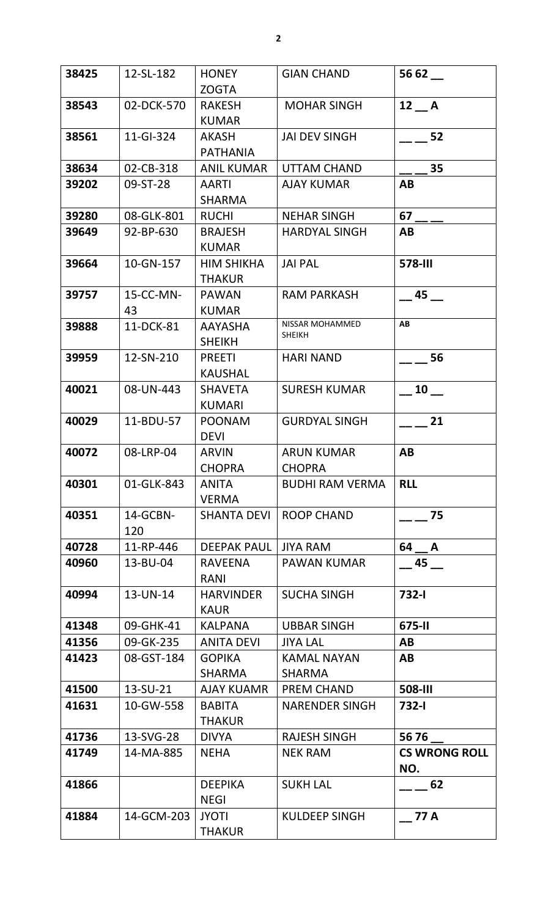| 38425 | 12-SL-182       | <b>HONEY</b>                       | <b>GIAN CHAND</b>                   | 56 62                       |
|-------|-----------------|------------------------------------|-------------------------------------|-----------------------------|
|       |                 | <b>ZOGTA</b>                       |                                     |                             |
| 38543 | 02-DCK-570      | <b>RAKESH</b><br><b>KUMAR</b>      | <b>MOHAR SINGH</b>                  | $12$ $A$                    |
| 38561 | 11-GI-324       | AKASH<br><b>PATHANIA</b>           | <b>JAI DEV SINGH</b>                | 52                          |
| 38634 | 02-CB-318       | <b>ANIL KUMAR</b>                  | UTTAM CHAND                         | 35                          |
| 39202 | 09-ST-28        | <b>AARTI</b><br><b>SHARMA</b>      | <b>AJAY KUMAR</b>                   | AB                          |
| 39280 | 08-GLK-801      | <b>RUCHI</b>                       | <b>NEHAR SINGH</b>                  | 67                          |
| 39649 | 92-BP-630       | <b>BRAJESH</b><br><b>KUMAR</b>     | <b>HARDYAL SINGH</b>                | AB                          |
| 39664 | 10-GN-157       | <b>HIM SHIKHA</b><br><b>THAKUR</b> | <b>JAI PAL</b>                      | <b>578-III</b>              |
| 39757 | 15-CC-MN-<br>43 | <b>PAWAN</b><br><b>KUMAR</b>       | <b>RAM PARKASH</b>                  | 45                          |
| 39888 | 11-DCK-81       | <b>AAYASHA</b><br><b>SHEIKH</b>    | NISSAR MOHAMMED<br><b>SHEIKH</b>    | AB                          |
| 39959 | 12-SN-210       | <b>PREETI</b><br><b>KAUSHAL</b>    | <b>HARI NAND</b>                    | 56                          |
| 40021 | 08-UN-443       | <b>SHAVETA</b><br><b>KUMARI</b>    | <b>SURESH KUMAR</b>                 | <b>10</b>                   |
| 40029 | 11-BDU-57       | <b>POONAM</b><br><b>DEVI</b>       | <b>GURDYAL SINGH</b>                | 21                          |
| 40072 | 08-LRP-04       | <b>ARVIN</b><br><b>CHOPRA</b>      | <b>ARUN KUMAR</b><br><b>CHOPRA</b>  | AB                          |
| 40301 | 01-GLK-843      | <b>ANITA</b><br><b>VERMA</b>       | <b>BUDHI RAM VERMA</b>              | <b>RLL</b>                  |
| 40351 | 14-GCBN-<br>120 | <b>SHANTA DEVI</b>                 | <b>ROOP CHAND</b>                   | 75                          |
| 40728 | 11-RP-446       | <b>DEEPAK PAUL</b>                 | <b>JIYA RAM</b>                     | 64 A                        |
| 40960 | 13-BU-04        | <b>RAVEENA</b><br>RANI             | <b>PAWAN KUMAR</b>                  | 45                          |
| 40994 | 13-UN-14        | <b>HARVINDER</b><br><b>KAUR</b>    | <b>SUCHA SINGH</b>                  | $732 - 1$                   |
| 41348 | 09-GHK-41       | <b>KALPANA</b>                     | <b>UBBAR SINGH</b>                  | 675-II                      |
| 41356 | 09-GK-235       | <b>ANITA DEVI</b>                  | <b>JIYA LAL</b>                     | AB                          |
| 41423 | 08-GST-184      | <b>GOPIKA</b><br><b>SHARMA</b>     | <b>KAMAL NAYAN</b><br><b>SHARMA</b> | AB                          |
| 41500 | 13-SU-21        | <b>AJAY KUAMR</b>                  | <b>PREM CHAND</b>                   | 508-III                     |
| 41631 | 10-GW-558       | <b>BABITA</b><br><b>THAKUR</b>     | <b>NARENDER SINGH</b>               | 732-l                       |
| 41736 | 13-SVG-28       | <b>DIVYA</b>                       | <b>RAJESH SINGH</b>                 | 56 76                       |
| 41749 | 14-MA-885       | <b>NEHA</b>                        | <b>NEK RAM</b>                      | <b>CS WRONG ROLL</b><br>NO. |
| 41866 |                 | <b>DEEPIKA</b><br><b>NEGI</b>      | <b>SUKH LAL</b>                     | 62                          |
| 41884 | 14-GCM-203      | <b>JYOTI</b><br><b>THAKUR</b>      | <b>KULDEEP SINGH</b>                | 77 A                        |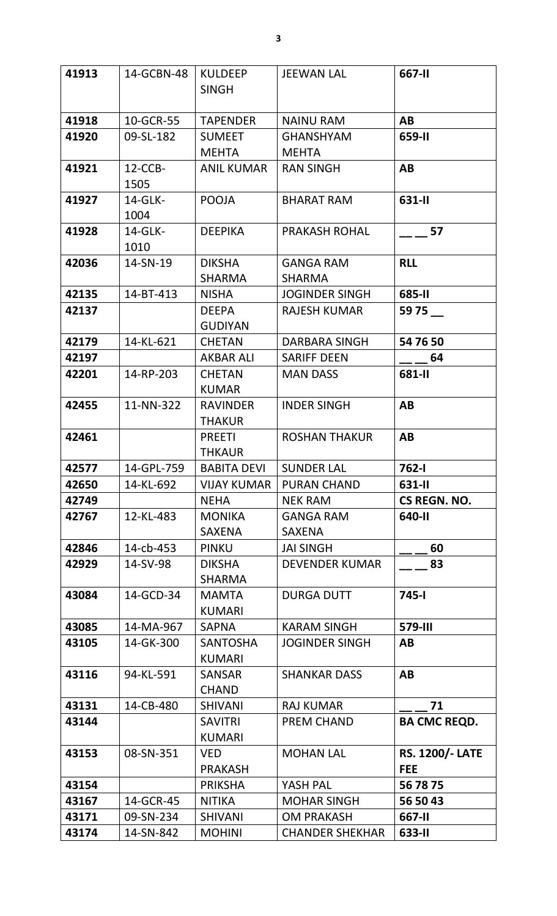| 41913 | 14-GCBN-48      | <b>KULDEEP</b>                   | <b>JEEWAN LAL</b>      | 667-II                 |
|-------|-----------------|----------------------------------|------------------------|------------------------|
|       |                 | <b>SINGH</b>                     |                        |                        |
| 41918 | 10-GCR-55       | <b>TAPENDER</b>                  | <b>NAINU RAM</b>       | AB                     |
| 41920 | 09-SL-182       | <b>SUMEET</b>                    | <b>GHANSHYAM</b>       | 659-II                 |
|       |                 | <b>MEHTA</b>                     | <b>MEHTA</b>           |                        |
| 41921 | $12$ -CCB-      | <b>ANIL KUMAR</b>                | <b>RAN SINGH</b>       | AB                     |
|       | 1505            |                                  |                        |                        |
| 41927 | 14-GLK-<br>1004 | <b>POOJA</b>                     | <b>BHARAT RAM</b>      | 631-II                 |
| 41928 | 14-GLK-         | <b>DEEPIKA</b>                   | <b>PRAKASH ROHAL</b>   | 57                     |
|       | 1010            |                                  |                        |                        |
| 42036 | 14-SN-19        | <b>DIKSHA</b>                    | <b>GANGA RAM</b>       | <b>RLL</b>             |
|       |                 | <b>SHARMA</b>                    | <b>SHARMA</b>          |                        |
| 42135 | 14-BT-413       | <b>NISHA</b>                     | <b>JOGINDER SINGH</b>  | 685-II                 |
| 42137 |                 | <b>DEEPA</b><br><b>GUDIYAN</b>   | RAJESH KUMAR           | 59 75                  |
| 42179 | 14-KL-621       | <b>CHETAN</b>                    | DARBARA SINGH          | 54 76 50               |
| 42197 |                 | <b>AKBAR ALI</b>                 | <b>SARIFF DEEN</b>     | 64                     |
| 42201 | 14-RP-203       | <b>CHETAN</b>                    | <b>MAN DASS</b>        | 681-II                 |
|       |                 | <b>KUMAR</b>                     |                        |                        |
| 42455 | 11-NN-322       | <b>RAVINDER</b><br><b>THAKUR</b> | <b>INDER SINGH</b>     | AB                     |
| 42461 |                 | <b>PREETI</b>                    | <b>ROSHAN THAKUR</b>   | AB                     |
|       |                 | <b>THKAUR</b>                    |                        |                        |
| 42577 | 14-GPL-759      | <b>BABITA DEVI</b>               | SUNDER LAL             | 762-l                  |
| 42650 | 14-KL-692       | <b>VIJAY KUMAR</b>               | <b>PURAN CHAND</b>     | 631-II                 |
| 42749 |                 | NEHA                             | <b>NEK RAM</b>         | CS REGN. NO.           |
| 42767 | 12-KL-483       | <b>MONIKA</b>                    | <b>GANGA RAM</b>       | 640-II                 |
|       |                 | <b>SAXENA</b>                    | SAXENA                 |                        |
| 42846 | 14-cb-453       | <b>PINKU</b>                     | <b>JAI SINGH</b>       | 60                     |
| 42929 | 14-SV-98        | <b>DIKSHA</b><br><b>SHARMA</b>   | <b>DEVENDER KUMAR</b>  | 83                     |
| 43084 | 14-GCD-34       | <b>MAMTA</b>                     | <b>DURGA DUTT</b>      | 745-l                  |
|       |                 | <b>KUMARI</b>                    |                        |                        |
| 43085 | 14-MA-967       | <b>SAPNA</b>                     | <b>KARAM SINGH</b>     | <b>579-III</b>         |
| 43105 | 14-GK-300       | <b>SANTOSHA</b>                  | <b>JOGINDER SINGH</b>  | AB                     |
|       |                 | <b>KUMARI</b>                    |                        |                        |
| 43116 | 94-KL-591       | <b>SANSAR</b>                    | <b>SHANKAR DASS</b>    | AB                     |
|       |                 | <b>CHAND</b>                     |                        |                        |
| 43131 | 14-CB-480       | <b>SHIVANI</b>                   | <b>RAJ KUMAR</b>       | 71                     |
| 43144 |                 | <b>SAVITRI</b><br><b>KUMARI</b>  | PREM CHAND             | <b>BA CMC REQD.</b>    |
| 43153 | 08-SN-351       | VED                              | <b>MOHAN LAL</b>       | <b>RS. 1200/- LATE</b> |
|       |                 | <b>PRAKASH</b>                   |                        | <b>FEE</b>             |
| 43154 |                 | <b>PRIKSHA</b>                   | YASH PAL               | 56 78 75               |
| 43167 | 14-GCR-45       | <b>NITIKA</b>                    | <b>MOHAR SINGH</b>     | 56 50 43               |
| 43171 | 09-SN-234       | <b>SHIVANI</b>                   | <b>OM PRAKASH</b>      | 667-II                 |
| 43174 | 14-SN-842       | <b>MOHINI</b>                    | <b>CHANDER SHEKHAR</b> | 633-II                 |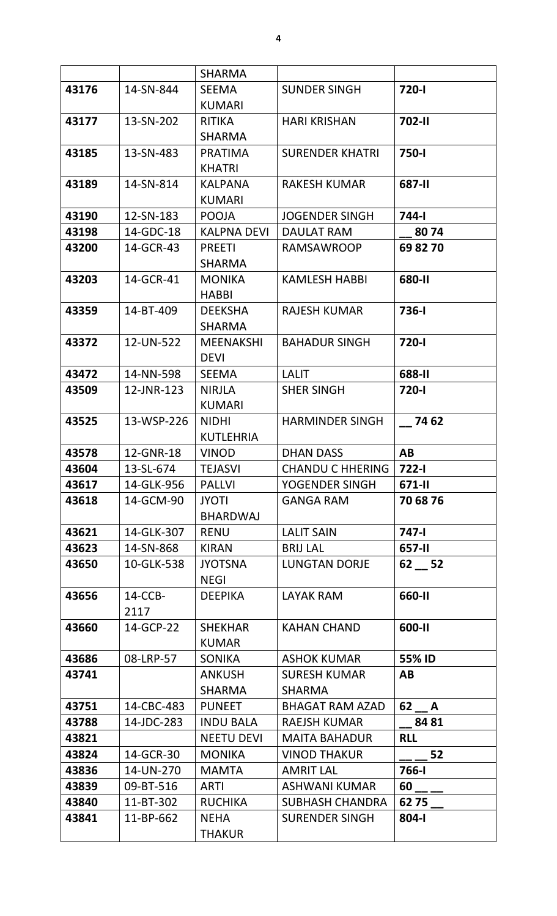|                |            | <b>SHARMA</b>                    |                                           |                 |
|----------------|------------|----------------------------------|-------------------------------------------|-----------------|
| 43176          | 14-SN-844  | <b>SEEMA</b>                     | <b>SUNDER SINGH</b>                       | 720-l           |
|                |            | <b>KUMARI</b>                    |                                           |                 |
| 43177          | 13-SN-202  | <b>RITIKA</b>                    | <b>HARI KRISHAN</b>                       | 702-II          |
|                |            | <b>SHARMA</b>                    |                                           |                 |
| 43185          | 13-SN-483  | <b>PRATIMA</b>                   | <b>SURENDER KHATRI</b>                    | 750-l           |
|                |            | <b>KHATRI</b>                    |                                           |                 |
| 43189          | 14-SN-814  | <b>KALPANA</b>                   | <b>RAKESH KUMAR</b>                       | 687-II          |
|                |            | <b>KUMARI</b>                    |                                           |                 |
| 43190          | 12-SN-183  | <b>POOJA</b>                     | <b>JOGENDER SINGH</b>                     | <b>744-1</b>    |
| 43198          | 14-GDC-18  | <b>KALPNA DEVI</b>               | DAULAT RAM                                | 8074            |
| 43200          | 14-GCR-43  | <b>PREETI</b>                    | <b>RAMSAWROOP</b>                         | 69 82 70        |
|                |            | <b>SHARMA</b>                    |                                           |                 |
| 43203          | 14-GCR-41  | <b>MONIKA</b>                    | <b>KAMLESH HABBI</b>                      | 680-II          |
|                |            | <b>HABBI</b>                     |                                           |                 |
| 43359          | 14-BT-409  | <b>DEEKSHA</b>                   | <b>RAJESH KUMAR</b>                       | <b>736-1</b>    |
|                |            | <b>SHARMA</b>                    |                                           |                 |
| 43372          | 12-UN-522  | <b>MEENAKSHI</b>                 | <b>BAHADUR SINGH</b>                      | 720-l           |
|                |            | <b>DEVI</b>                      |                                           |                 |
| 43472          | 14-NN-598  | <b>SEEMA</b>                     | <b>LALIT</b>                              | 688-II          |
| 43509          | 12-JNR-123 | <b>NIRJLA</b>                    | <b>SHER SINGH</b>                         | 720-l           |
|                |            | <b>KUMARI</b>                    |                                           |                 |
| 43525          | 13-WSP-226 | <b>NIDHI</b><br><b>KUTLEHRIA</b> | <b>HARMINDER SINGH</b>                    | 74 62           |
| 43578          | 12-GNR-18  | <b>VINOD</b>                     | <b>DHAN DASS</b>                          | AB              |
|                | 13-SL-674  |                                  |                                           |                 |
| 43604<br>43617 | 14-GLK-956 | <b>TEJASVI</b><br><b>PALLVI</b>  | <b>CHANDU C HHERING</b><br>YOGENDER SINGH | 722-l<br>671-II |
| 43618          | 14-GCM-90  | JYOTI                            | <b>GANGA RAM</b>                          | 70 68 76        |
|                |            | <b>BHARDWAJ</b>                  |                                           |                 |
| 43621          | 14-GLK-307 | <b>RENU</b>                      | <b>LALIT SAIN</b>                         | 747-l           |
| 43623          | 14-SN-868  | <b>KIRAN</b>                     | <b>BRIJ LAL</b>                           | 657-II          |
| 43650          | 10-GLK-538 | <b>JYOTSNA</b>                   | <b>LUNGTAN DORJE</b>                      | $62 - 52$       |
|                |            | <b>NEGI</b>                      |                                           |                 |
| 43656          | $14$ -CCB- | <b>DEEPIKA</b>                   | LAYAK RAM                                 | 660-II          |
|                | 2117       |                                  |                                           |                 |
| 43660          | 14-GCP-22  | <b>SHEKHAR</b>                   | <b>KAHAN CHAND</b>                        | 600-II          |
|                |            | <b>KUMAR</b>                     |                                           |                 |
| 43686          | 08-LRP-57  | <b>SONIKA</b>                    | <b>ASHOK KUMAR</b>                        | 55% ID          |
| 43741          |            | <b>ANKUSH</b>                    | <b>SURESH KUMAR</b>                       | AB              |
|                |            | <b>SHARMA</b>                    | SHARMA                                    |                 |
| 43751          | 14-CBC-483 | <b>PUNEET</b>                    | <b>BHAGAT RAM AZAD</b>                    | $62 - A$        |
| 43788          | 14-JDC-283 | <b>INDU BALA</b>                 | <b>RAEJSH KUMAR</b>                       | 84 81           |
| 43821          |            | <b>NEETU DEVI</b>                | <b>MAITA BAHADUR</b>                      | <b>RLL</b>      |
| 43824          | 14-GCR-30  | <b>MONIKA</b>                    | <b>VINOD THAKUR</b>                       | 52              |
| 43836          | 14-UN-270  | <b>MAMTA</b>                     | <b>AMRIT LAL</b>                          | 766-l           |
| 43839          | 09-BT-516  | ARTI                             | <b>ASHWANI KUMAR</b>                      | 60              |
| 43840          | 11-BT-302  | <b>RUCHIKA</b>                   | <b>SUBHASH CHANDRA</b>                    | 62 75           |
| 43841          | 11-BP-662  | <b>NEHA</b>                      | <b>SURENDER SINGH</b>                     | 804-l           |
|                |            | <b>THAKUR</b>                    |                                           |                 |